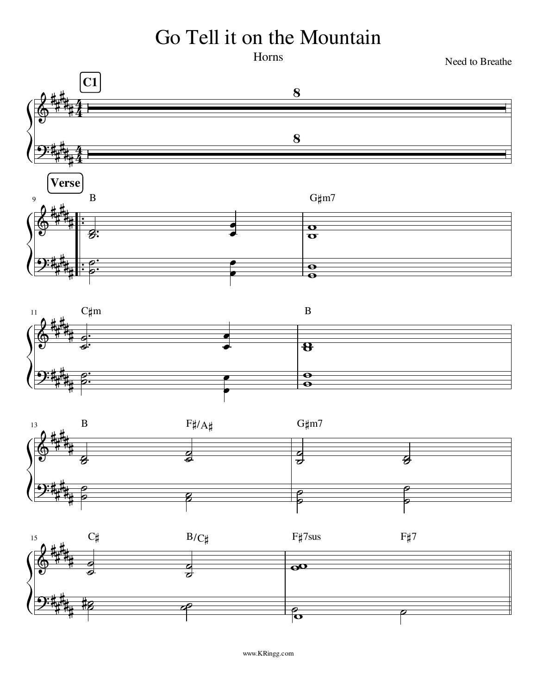## Go Tell it on the Mountain

Horns

Need to Breathe